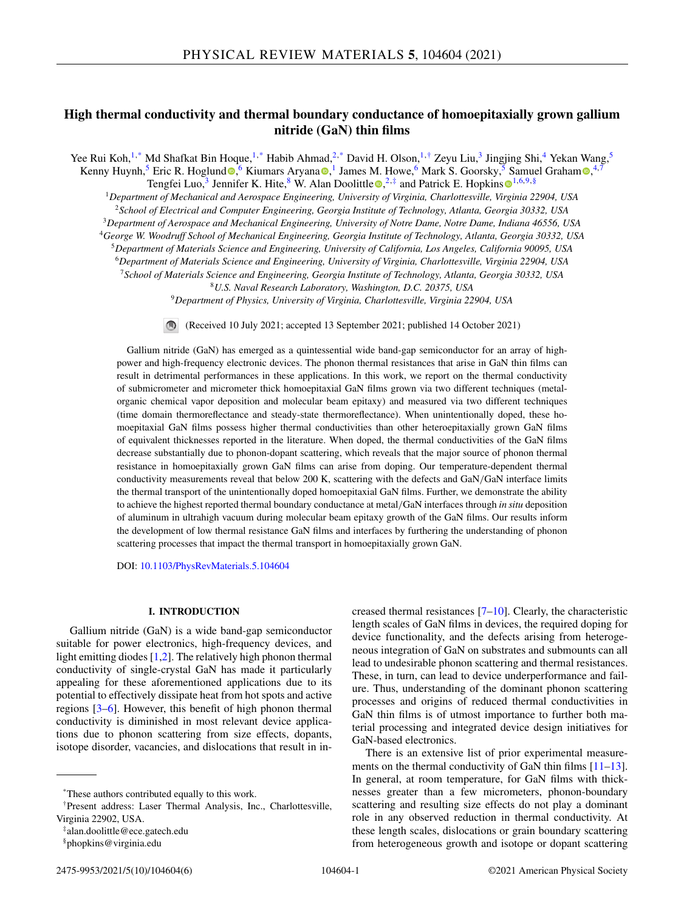# **High thermal conductivity and thermal boundary conductance of homoepitaxially grown gallium nitride (GaN) thin films**

Yee Rui Koh,<sup>1,\*</sup> Md Shafkat Bin Hoque,<sup>1,\*</sup> Habib Ahmad,<sup>2,\*</sup> David H. Olson,<sup>1,†</sup> Zeyu Liu,<sup>3</sup> Jingjing Shi,<sup>4</sup> Yekan Wang,<sup>5</sup> Kenny Huynh,<sup>5</sup> Eric R. Hoglun[d](https://orcid.org/0000-0002-3409-4960) <sup>®</sup>[,](https://orcid.org/0000-0002-1299-1636) <sup>6</sup> Kiumars Aryana <sup>®</sup>, <sup>1</sup> James M. Howe, <sup>6</sup> Mark S. Goorsky, <sup>5</sup> Samuel Graham ®, <sup>4,7</sup> T[e](https://orcid.org/0000-0001-6427-5327)ngfei Luo,<sup>3</sup> Jennifer K. Hite,<sup>8</sup> W. Alan Doolittle  $\mathbb{D}$ ,<sup>2, $\ddagger$ </sup> and Patrick E. Hopkins  $\mathbb{D}^{1,6,9,\$}$  $\mathbb{D}^{1,6,9,\$}$  $\mathbb{D}^{1,6,9,\$}$ 

<sup>1</sup>*Department of Mechanical and Aerospace Engineering, University of Virginia, Charlottesville, Virginia 22904, USA* <sup>2</sup>*School of Electrical and Computer Engineering, Georgia Institute of Technology, Atlanta, Georgia 30332, USA* <sup>3</sup>*Department of Aerospace and Mechanical Engineering, University of Notre Dame, Notre Dame, Indiana 46556, USA*

<sup>4</sup>*George W. Woodruff School of Mechanical Engineering, Georgia Institute of Technology, Atlanta, Georgia 30332, USA*

<sup>5</sup>*Department of Materials Science and Engineering, University of California, Los Angeles, California 90095, USA*

<sup>6</sup>*Department of Materials Science and Engineering, University of Virginia, Charlottesville, Virginia 22904, USA*

<sup>7</sup>*School of Materials Science and Engineering, Georgia Institute of Technology, Atlanta, Georgia 30332, USA*

<sup>8</sup>*U.S. Naval Research Laboratory, Washington, D.C. 20375, USA*

<sup>9</sup>*Department of Physics, University of Virginia, Charlottesville, Virginia 22904, USA*

(Received 10 July 2021; accepted 13 September 2021; published 14 October 2021)

Gallium nitride (GaN) has emerged as a quintessential wide band-gap semiconductor for an array of highpower and high-frequency electronic devices. The phonon thermal resistances that arise in GaN thin films can result in detrimental performances in these applications. In this work, we report on the thermal conductivity of submicrometer and micrometer thick homoepitaxial GaN films grown via two different techniques (metalorganic chemical vapor deposition and molecular beam epitaxy) and measured via two different techniques (time domain thermoreflectance and steady-state thermoreflectance). When unintentionally doped, these homoepitaxial GaN films possess higher thermal conductivities than other heteroepitaxially grown GaN films of equivalent thicknesses reported in the literature. When doped, the thermal conductivities of the GaN films decrease substantially due to phonon-dopant scattering, which reveals that the major source of phonon thermal resistance in homoepitaxially grown GaN films can arise from doping. Our temperature-dependent thermal conductivity measurements reveal that below 200 K, scattering with the defects and GaN/GaN interface limits the thermal transport of the unintentionally doped homoepitaxial GaN films. Further, we demonstrate the ability to achieve the highest reported thermal boundary conductance at metal/GaN interfaces through *in situ* deposition of aluminum in ultrahigh vacuum during molecular beam epitaxy growth of the GaN films. Our results inform the development of low thermal resistance GaN films and interfaces by furthering the understanding of phonon scattering processes that impact the thermal transport in homoepitaxially grown GaN.

DOI: [10.1103/PhysRevMaterials.5.104604](https://doi.org/10.1103/PhysRevMaterials.5.104604)

# **I. INTRODUCTION**

Gallium nitride (GaN) is a wide band-gap semiconductor suitable for power electronics, high-frequency devices, and light emitting diodes  $[1,2]$ . The relatively high phonon thermal conductivity of single-crystal GaN has made it particularly appealing for these aforementioned applications due to its potential to effectively dissipate heat from hot spots and active regions [\[3–6\]](#page-4-0). However, this benefit of high phonon thermal conductivity is diminished in most relevant device applications due to phonon scattering from size effects, dopants, isotope disorder, vacancies, and dislocations that result in in-

‡alan.doolittle@ece.gatech.edu

§phopkins@virginia.edu

creased thermal resistances [\[7–10\]](#page-4-0). Clearly, the characteristic length scales of GaN films in devices, the required doping for device functionality, and the defects arising from heterogeneous integration of GaN on substrates and submounts can all lead to undesirable phonon scattering and thermal resistances. These, in turn, can lead to device underperformance and failure. Thus, understanding of the dominant phonon scattering processes and origins of reduced thermal conductivities in GaN thin films is of utmost importance to further both material processing and integrated device design initiatives for GaN-based electronics.

There is an extensive list of prior experimental measure-ments on the thermal conductivity of GaN thin films [\[11–13\]](#page-4-0). In general, at room temperature, for GaN films with thicknesses greater than a few micrometers, phonon-boundary scattering and resulting size effects do not play a dominant role in any observed reduction in thermal conductivity. At these length scales, dislocations or grain boundary scattering from heterogeneous growth and isotope or dopant scattering

<sup>\*</sup>These authors contributed equally to this work.

<sup>†</sup>Present address: Laser Thermal Analysis, Inc., Charlottesville, Virginia 22902, USA.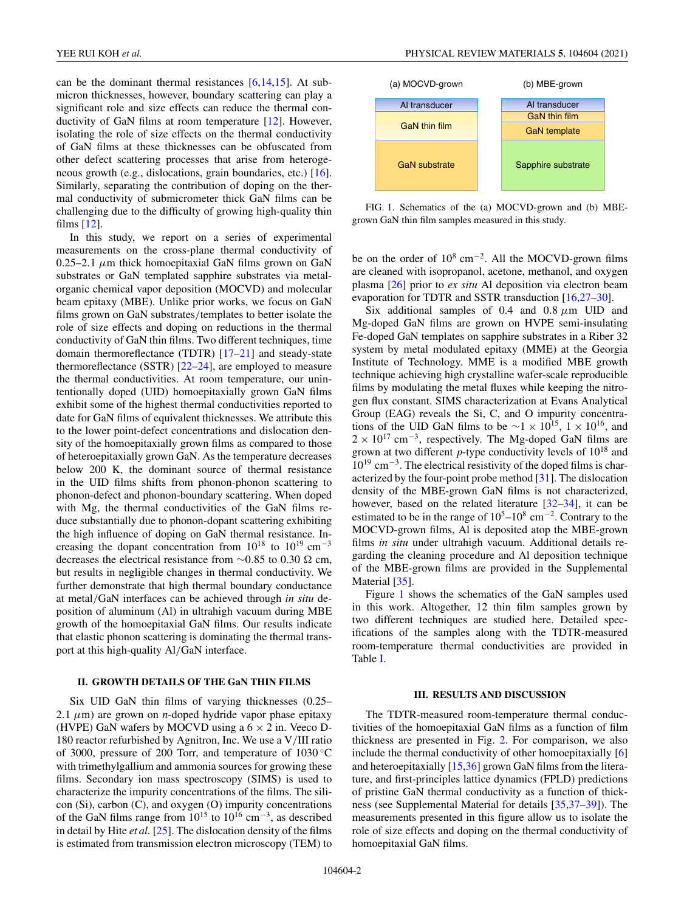can be the dominant thermal resistances  $[6,14,15]$ . At submicron thicknesses, however, boundary scattering can play a significant role and size effects can reduce the thermal conductivity of GaN films at room temperature [\[12\]](#page-4-0). However, isolating the role of size effects on the thermal conductivity of GaN films at these thicknesses can be obfuscated from other defect scattering processes that arise from heterogeneous growth (e.g., dislocations, grain boundaries, etc.) [\[16\]](#page-4-0). Similarly, separating the contribution of doping on the thermal conductivity of submicrometer thick GaN films can be challenging due to the difficulty of growing high-quality thin films [\[12\]](#page-4-0).

In this study, we report on a series of experimental measurements on the cross-plane thermal conductivity of  $0.25-2.1 \mu m$  thick homoepitaxial GaN films grown on GaN substrates or GaN templated sapphire substrates via metalorganic chemical vapor deposition (MOCVD) and molecular beam epitaxy (MBE). Unlike prior works, we focus on GaN films grown on GaN substrates/templates to better isolate the role of size effects and doping on reductions in the thermal conductivity of GaN thin films. Two different techniques, time domain thermoreflectance (TDTR) [\[17–21\]](#page-4-0) and steady-state thermoreflectance (SSTR) [\[22–24\]](#page-4-0), are employed to measure the thermal conductivities. At room temperature, our unintentionally doped (UID) homoepitaxially grown GaN films exhibit some of the highest thermal conductivities reported to date for GaN films of equivalent thicknesses. We attribute this to the lower point-defect concentrations and dislocation density of the homoepitaxially grown films as compared to those of heteroepitaxially grown GaN. As the temperature decreases below 200 K, the dominant source of thermal resistance in the UID films shifts from phonon-phonon scattering to phonon-defect and phonon-boundary scattering. When doped with Mg, the thermal conductivities of the GaN films reduce substantially due to phonon-dopant scattering exhibiting the high influence of doping on GaN thermal resistance. Increasing the dopant concentration from  $10^{18}$  to  $10^{19}$  cm<sup>-3</sup> decreases the electrical resistance from  $\sim$ 0.85 to 0.30  $\Omega$  cm, but results in negligible changes in thermal conductivity. We further demonstrate that high thermal boundary conductance at metal/GaN interfaces can be achieved through *in situ* deposition of aluminum (Al) in ultrahigh vacuum during MBE growth of the homoepitaxial GaN films. Our results indicate that elastic phonon scattering is dominating the thermal transport at this high-quality Al/GaN interface.

## **II. GROWTH DETAILS OF THE GaN THIN FILMS**

Six UID GaN thin films of varying thicknesses (0.25– 2.1  $\mu$ m) are grown on *n*-doped hydride vapor phase epitaxy (HVPE) GaN wafers by MOCVD using a  $6 \times 2$  in. Veeco D-180 reactor refurbished by Agnitron, Inc. We use a V/III ratio of 3000, pressure of 200 Torr, and temperature of 1030 ◦C with trimethylgallium and ammonia sources for growing these films. Secondary ion mass spectroscopy (SIMS) is used to characterize the impurity concentrations of the films. The silicon (Si), carbon (C), and oxygen (O) impurity concentrations of the GaN films range from  $10^{15}$  to  $10^{16}$  cm<sup>-3</sup>, as described in detail by Hite *et al.* [\[25\]](#page-4-0). The dislocation density of the films is estimated from transmission electron microscopy (TEM) to



FIG. 1. Schematics of the (a) MOCVD-grown and (b) MBEgrown GaN thin film samples measured in this study.

be on the order of  $10^8$  cm<sup>-2</sup>. All the MOCVD-grown films are cleaned with isopropanol, acetone, methanol, and oxygen plasma [\[26\]](#page-4-0) prior to *ex situ* Al deposition via electron beam evaporation for TDTR and SSTR transduction [\[16,27–30\]](#page-4-0).

Six additional samples of 0.4 and 0.8  $\mu$ m UID and Mg-doped GaN films are grown on HVPE semi-insulating Fe-doped GaN templates on sapphire substrates in a Riber 32 system by metal modulated epitaxy (MME) at the Georgia Institute of Technology. MME is a modified MBE growth technique achieving high crystalline wafer-scale reproducible films by modulating the metal fluxes while keeping the nitrogen flux constant. SIMS characterization at Evans Analytical Group (EAG) reveals the Si, C, and O impurity concentrations of the UID GaN films to be  $\sim$ 1 × 10<sup>15</sup>, 1 × 10<sup>16</sup>, and  $2 \times 10^{17}$  cm<sup>-3</sup>, respectively. The Mg-doped GaN films are grown at two different *p*-type conductivity levels of 10<sup>18</sup> and 10<sup>19</sup> cm−3. The electrical resistivity of the doped films is characterized by the four-point probe method [\[31\]](#page-4-0). The dislocation density of the MBE-grown GaN films is not characterized, however, based on the related literature [\[32–](#page-4-0)[34\]](#page-5-0), it can be estimated to be in the range of  $10^5$ – $10^8$  cm<sup>-2</sup>. Contrary to the MOCVD-grown films, Al is deposited atop the MBE-grown films *in situ* under ultrahigh vacuum. Additional details regarding the cleaning procedure and Al deposition technique of the MBE-grown films are provided in the Supplemental Material [\[35\]](#page-5-0).

Figure 1 shows the schematics of the GaN samples used in this work. Altogether, 12 thin film samples grown by two different techniques are studied here. Detailed specifications of the samples along with the TDTR-measured room-temperature thermal conductivities are provided in Table [I.](#page-2-0)

#### **III. RESULTS AND DISCUSSION**

The TDTR-measured room-temperature thermal conductivities of the homoepitaxial GaN films as a function of film thickness are presented in Fig. [2.](#page-2-0) For comparison, we also include the thermal conductivity of other homoepitaxially [\[6\]](#page-4-0) and heteroepitaxially [\[15,](#page-4-0)[36\]](#page-5-0) grown GaN films from the literature, and first-principles lattice dynamics (FPLD) predictions of pristine GaN thermal conductivity as a function of thickness (see Supplemental Material for details [\[35,37–39\]](#page-5-0)). The measurements presented in this figure allow us to isolate the role of size effects and doping on the thermal conductivity of homoepitaxial GaN films.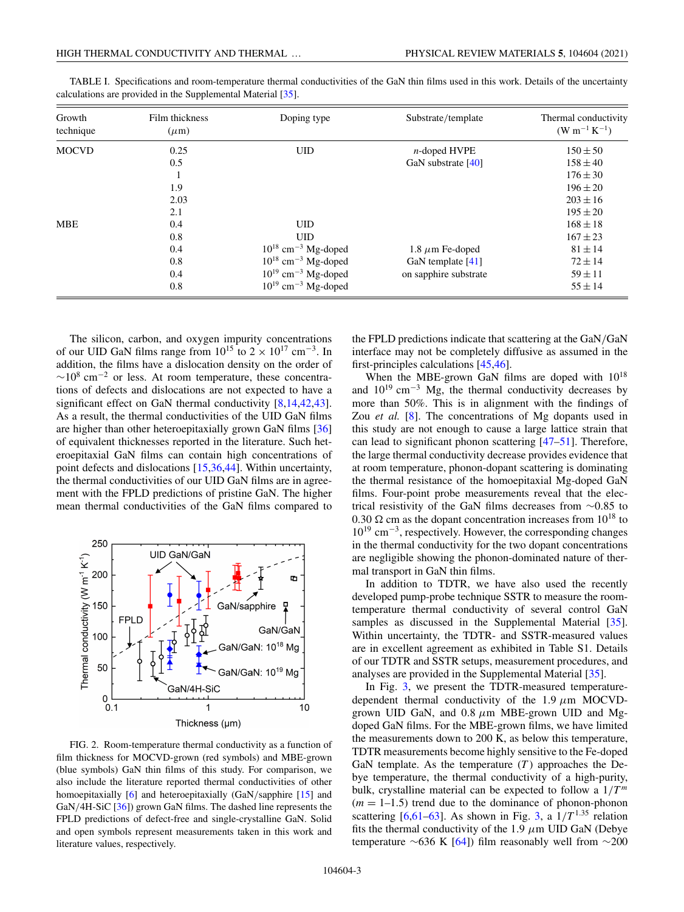| Growth<br>technique | Film thickness<br>$(\mu m)$ | Doping type                         | Substrate/template    | Thermal conductivity<br>$(W m^{-1} K^{-1})$ |
|---------------------|-----------------------------|-------------------------------------|-----------------------|---------------------------------------------|
| <b>MOCVD</b>        | 0.25                        | <b>UID</b>                          | $n$ -doped HVPE       | $150 \pm 50$                                |
|                     | 0.5                         |                                     | GaN substrate [40]    | $158 \pm 40$                                |
|                     |                             |                                     |                       | $176 \pm 30$                                |
|                     | 1.9                         |                                     |                       | $196 \pm 20$                                |
|                     | 2.03                        |                                     |                       | $203 \pm 16$                                |
|                     | 2.1                         |                                     |                       | $195 \pm 20$                                |
| <b>MBE</b>          | 0.4                         | <b>UID</b>                          |                       | $168 \pm 18$                                |
|                     | 0.8                         | <b>UID</b>                          |                       | $167 \pm 23$                                |
|                     | 0.4                         | $10^{18}$ cm <sup>-3</sup> Mg-doped | 1.8 $\mu$ m Fe-doped  | $81 \pm 14$                                 |
|                     | 0.8                         | $10^{18}$ cm <sup>-3</sup> Mg-doped | GaN template $[41]$   | $72 \pm 14$                                 |
|                     | 0.4                         | $10^{19}$ cm <sup>-3</sup> Mg-doped | on sapphire substrate | $59 \pm 11$                                 |
|                     | 0.8                         | $10^{19}$ cm <sup>-3</sup> Mg-doped |                       | $55 \pm 14$                                 |

<span id="page-2-0"></span>TABLE I. Specifications and room-temperature thermal conductivities of the GaN thin films used in this work. Details of the uncertainty calculations are provided in the Supplemental Material [\[35\]](#page-5-0).

The silicon, carbon, and oxygen impurity concentrations of our UID GaN films range from  $10^{15}$  to  $2 \times 10^{17}$  cm<sup>-3</sup>. In addition, the films have a dislocation density on the order of  $~\sim$ 10<sup>8</sup> cm<sup>-2</sup> or less. At room temperature, these concentrations of defects and dislocations are not expected to have a significant effect on GaN thermal conductivity  $[8,14,42,43]$  $[8,14,42,43]$ . As a result, the thermal conductivities of the UID GaN films are higher than other heteroepitaxially grown GaN films [\[36\]](#page-5-0) of equivalent thicknesses reported in the literature. Such heteroepitaxial GaN films can contain high concentrations of point defects and dislocations [\[15](#page-4-0)[,36,44\]](#page-5-0). Within uncertainty, the thermal conductivities of our UID GaN films are in agreement with the FPLD predictions of pristine GaN. The higher mean thermal conductivities of the GaN films compared to



FIG. 2. Room-temperature thermal conductivity as a function of film thickness for MOCVD-grown (red symbols) and MBE-grown (blue symbols) GaN thin films of this study. For comparison, we also include the literature reported thermal conductivities of other homoepitaxially [\[6\]](#page-4-0) and heteroepitaxially (GaN/sapphire [\[15\]](#page-4-0) and GaN/4H-SiC [\[36\]](#page-5-0)) grown GaN films. The dashed line represents the FPLD predictions of defect-free and single-crystalline GaN. Solid and open symbols represent measurements taken in this work and literature values, respectively.

the FPLD predictions indicate that scattering at the GaN/GaN interface may not be completely diffusive as assumed in the first-principles calculations [\[45,46\]](#page-5-0).

When the MBE-grown GaN films are doped with  $10^{18}$ and  $10^{19}$  cm<sup>-3</sup> Mg, the thermal conductivity decreases by more than 50%. This is in alignment with the findings of Zou *et al.* [\[8\]](#page-4-0). The concentrations of Mg dopants used in this study are not enough to cause a large lattice strain that can lead to significant phonon scattering [\[47–51\]](#page-5-0). Therefore, the large thermal conductivity decrease provides evidence that at room temperature, phonon-dopant scattering is dominating the thermal resistance of the homoepitaxial Mg-doped GaN films. Four-point probe measurements reveal that the electrical resistivity of the GaN films decreases from ∼0.85 to 0.30  $\Omega$  cm as the dopant concentration increases from 10<sup>18</sup> to  $10^{19}$  cm<sup>-3</sup>, respectively. However, the corresponding changes in the thermal conductivity for the two dopant concentrations are negligible showing the phonon-dominated nature of thermal transport in GaN thin films.

In addition to TDTR, we have also used the recently developed pump-probe technique SSTR to measure the roomtemperature thermal conductivity of several control GaN samples as discussed in the Supplemental Material [\[35\]](#page-5-0). Within uncertainty, the TDTR- and SSTR-measured values are in excellent agreement as exhibited in Table S1. Details of our TDTR and SSTR setups, measurement procedures, and analyses are provided in the Supplemental Material [\[35\]](#page-5-0).

In Fig. [3,](#page-3-0) we present the TDTR-measured temperaturedependent thermal conductivity of the 1.9  $\mu$ m MOCVDgrown UID GaN, and  $0.8 \mu m$  MBE-grown UID and Mgdoped GaN films. For the MBE-grown films, we have limited the measurements down to 200 K, as below this temperature, TDTR measurements become highly sensitive to the Fe-doped GaN template. As the temperature  $(T)$  approaches the Debye temperature, the thermal conductivity of a high-purity, bulk, crystalline material can be expected to follow a  $1/T<sup>m</sup>$  $(m = 1-1.5)$  trend due to the dominance of phonon-phonon scattering  $[6,61-63]$  $[6,61-63]$ . As shown in Fig. [3,](#page-3-0) a  $1/T^{1.35}$  relation fits the thermal conductivity of the 1.9  $\mu$ m UID GaN (Debye temperature ∼636 K [\[64\]](#page-5-0)) film reasonably well from ∼200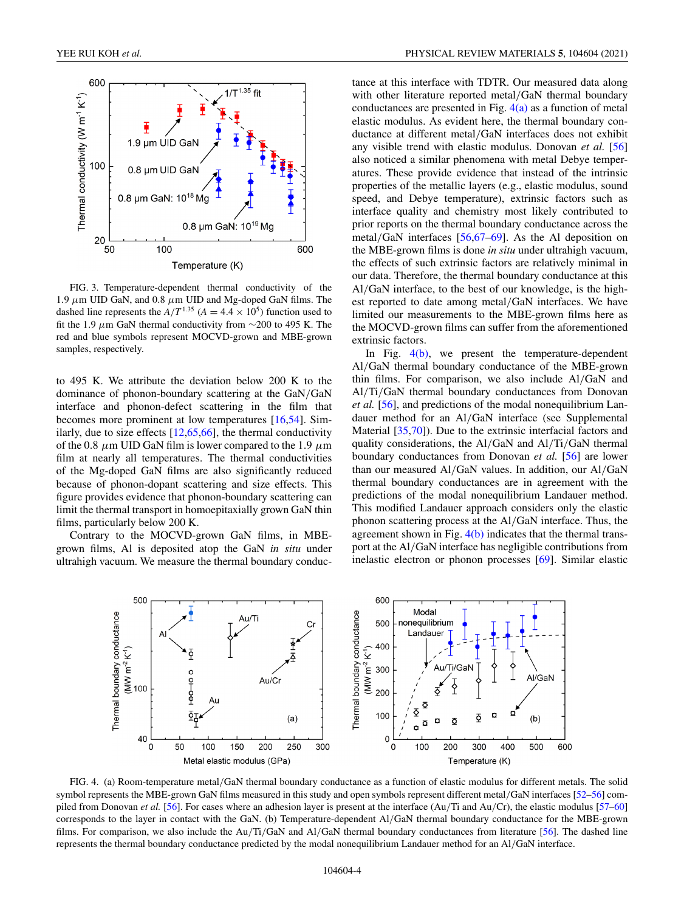<span id="page-3-0"></span>

FIG. 3. Temperature-dependent thermal conductivity of the 1.9  $\mu$ m UID GaN, and 0.8  $\mu$ m UID and Mg-doped GaN films. The dashed line represents the  $A/T^{1.35}$  ( $A = 4.4 \times 10^5$ ) function used to fit the 1.9  $\mu$ m GaN thermal conductivity from ∼200 to 495 K. The red and blue symbols represent MOCVD-grown and MBE-grown samples, respectively.

to 495 K. We attribute the deviation below 200 K to the dominance of phonon-boundary scattering at the GaN/GaN interface and phonon-defect scattering in the film that becomes more prominent at low temperatures [\[16](#page-4-0)[,54\]](#page-5-0). Similarly, due to size effects  $[12,65,66]$  $[12,65,66]$ , the thermal conductivity of the 0.8  $\mu$ m UID GaN film is lower compared to the 1.9  $\mu$ m film at nearly all temperatures. The thermal conductivities of the Mg-doped GaN films are also significantly reduced because of phonon-dopant scattering and size effects. This figure provides evidence that phonon-boundary scattering can limit the thermal transport in homoepitaxially grown GaN thin films, particularly below 200 K.

Contrary to the MOCVD-grown GaN films, in MBEgrown films, Al is deposited atop the GaN *in situ* under ultrahigh vacuum. We measure the thermal boundary conductance at this interface with TDTR. Our measured data along with other literature reported metal/GaN thermal boundary conductances are presented in Fig.  $4(a)$  as a function of metal elastic modulus. As evident here, the thermal boundary conductance at different metal/GaN interfaces does not exhibit any visible trend with elastic modulus. Donovan *et al.* [\[56\]](#page-5-0) also noticed a similar phenomena with metal Debye temperatures. These provide evidence that instead of the intrinsic properties of the metallic layers (e.g., elastic modulus, sound speed, and Debye temperature), extrinsic factors such as interface quality and chemistry most likely contributed to prior reports on the thermal boundary conductance across the metal/GaN interfaces [\[56,67–69\]](#page-5-0). As the Al deposition on the MBE-grown films is done *in situ* under ultrahigh vacuum, the effects of such extrinsic factors are relatively minimal in our data. Therefore, the thermal boundary conductance at this Al/GaN interface, to the best of our knowledge, is the highest reported to date among metal/GaN interfaces. We have limited our measurements to the MBE-grown films here as the MOCVD-grown films can suffer from the aforementioned extrinsic factors.

In Fig. 4(b), we present the temperature-dependent Al/GaN thermal boundary conductance of the MBE-grown thin films. For comparison, we also include Al/GaN and Al/Ti/GaN thermal boundary conductances from Donovan *et al.* [\[56\]](#page-5-0), and predictions of the modal nonequilibrium Landauer method for an Al/GaN interface (see Supplemental Material [\[35,70\]](#page-5-0)). Due to the extrinsic interfacial factors and quality considerations, the Al/GaN and Al/Ti/GaN thermal boundary conductances from Donovan *et al.* [\[56\]](#page-5-0) are lower than our measured Al/GaN values. In addition, our Al/GaN thermal boundary conductances are in agreement with the predictions of the modal nonequilibrium Landauer method. This modified Landauer approach considers only the elastic phonon scattering process at the Al/GaN interface. Thus, the agreement shown in Fig.  $4(b)$  indicates that the thermal transport at the Al/GaN interface has negligible contributions from inelastic electron or phonon processes [\[69\]](#page-5-0). Similar elastic



FIG. 4. (a) Room-temperature metal/GaN thermal boundary conductance as a function of elastic modulus for different metals. The solid symbol represents the MBE-grown GaN films measured in this study and open symbols represent different metal/GaN interfaces [\[52–56\]](#page-5-0) compiled from Donovan *et al.* [\[56\]](#page-5-0). For cases where an adhesion layer is present at the interface (Au/Ti and Au/Cr), the elastic modulus [\[57–60\]](#page-5-0) corresponds to the layer in contact with the GaN. (b) Temperature-dependent Al/GaN thermal boundary conductance for the MBE-grown films. For comparison, we also include the Au/Ti/GaN and Al/GaN thermal boundary conductances from literature [\[56\]](#page-5-0). The dashed line represents the thermal boundary conductance predicted by the modal nonequilibrium Landauer method for an Al/GaN interface.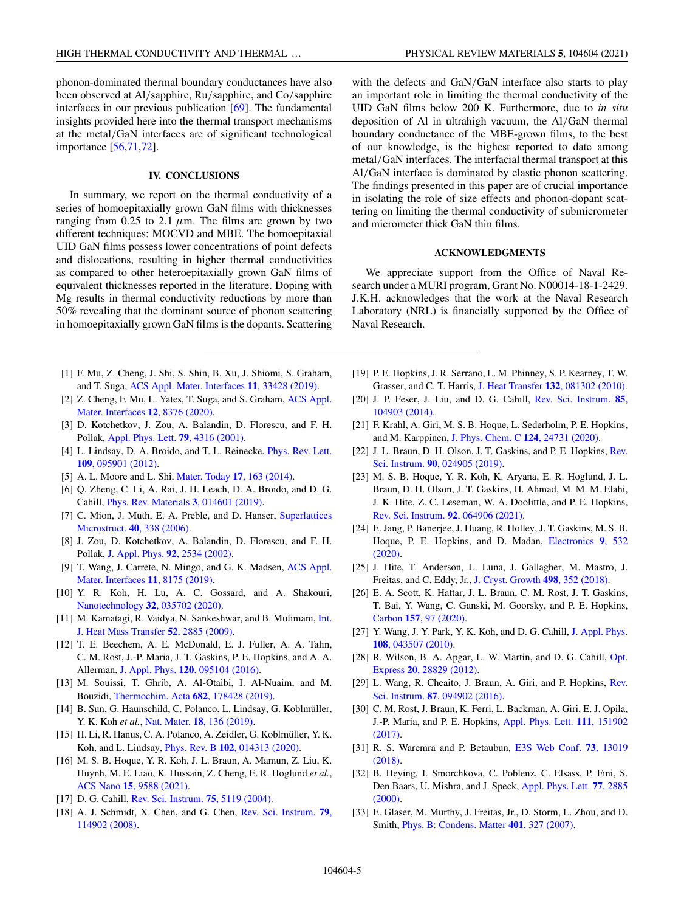<span id="page-4-0"></span>phonon-dominated thermal boundary conductances have also been observed at Al/sapphire, Ru/sapphire, and Co/sapphire interfaces in our previous publication [\[69\]](#page-5-0). The fundamental insights provided here into the thermal transport mechanisms at the metal/GaN interfaces are of significant technological importance [\[56,71,72\]](#page-5-0).

### **IV. CONCLUSIONS**

In summary, we report on the thermal conductivity of a series of homoepitaxially grown GaN films with thicknesses ranging from 0.25 to 2.1  $\mu$ m. The films are grown by two different techniques: MOCVD and MBE. The homoepitaxial UID GaN films possess lower concentrations of point defects and dislocations, resulting in higher thermal conductivities as compared to other heteroepitaxially grown GaN films of equivalent thicknesses reported in the literature. Doping with Mg results in thermal conductivity reductions by more than 50% revealing that the dominant source of phonon scattering in homoepitaxially grown GaN films is the dopants. Scattering

- [1] F. Mu, Z. Cheng, J. Shi, S. Shin, B. Xu, J. Shiomi, S. Graham, and T. Suga, [ACS Appl. Mater. Interfaces](https://doi.org/10.1021/acsami.9b10106) **11**, 33428 (2019).
- [2] [Z. Cheng, F. Mu, L. Yates, T. Suga, and S. Graham,](https://doi.org/10.1021/acsami.9b16959) ACS Appl. Mater. Interfaces **12**, 8376 (2020).
- [3] D. Kotchetkov, J. Zou, A. Balandin, D. Florescu, and F. H. Pollak, [Appl. Phys. Lett.](https://doi.org/10.1063/1.1427153) **79**, 4316 (2001).
- [4] [L. Lindsay, D. A. Broido, and T. L. Reinecke,](https://doi.org/10.1103/PhysRevLett.109.095901) Phys. Rev. Lett. **109**, 095901 (2012).
- [5] A. L. Moore and L. Shi, [Mater. Today](https://doi.org/10.1016/j.mattod.2014.04.003) **17**, 163 (2014).
- [6] Q. Zheng, C. Li, A. Rai, J. H. Leach, D. A. Broido, and D. G. Cahill, [Phys. Rev. Materials](https://doi.org/10.1103/PhysRevMaterials.3.014601) **3**, 014601 (2019).
- [7] [C. Mion, J. Muth, E. A. Preble, and D. Hanser,](https://doi.org/10.1016/j.spmi.2006.07.017) Superlattices Microstruct. **40**, 338 (2006).
- [8] J. Zou, D. Kotchetkov, A. Balandin, D. Florescu, and F. H. Pollak, [J. Appl. Phys.](https://doi.org/10.1063/1.1497704) **92**, 2534 (2002).
- [9] [T. Wang, J. Carrete, N. Mingo, and G. K. Madsen,](https://doi.org/10.1021/acsami.8b17525) ACS Appl. Mater. Interfaces **11**, 8175 (2019).
- [10] Y. R. Koh, H. Lu, A. C. Gossard, and A. Shakouri, [Nanotechnology](https://doi.org/10.1088/1361-6528/abb6a3) **32**, 035702 (2020).
- [11] [M. Kamatagi, R. Vaidya, N. Sankeshwar, and B. Mulimani,](https://doi.org/10.1016/j.ijheatmasstransfer.2008.10.032) *Int.* J. Heat Mass Transfer **52**, 2885 (2009).
- [12] T. E. Beechem, A. E. McDonald, E. J. Fuller, A. A. Talin, C. M. Rost, J.-P. Maria, J. T. Gaskins, P. E. Hopkins, and A. A. Allerman, J. Appl. Phys. **120**[, 095104 \(2016\).](https://doi.org/10.1063/1.4962010)
- [13] M. Souissi, T. Ghrib, A. Al-Otaibi, I. Al-Nuaim, and M. Bouzidi, [Thermochim. Acta](https://doi.org/10.1016/j.tca.2019.178428) **682**, 178428 (2019).
- [14] B. Sun, G. Haunschild, C. Polanco, L. Lindsay, G. Koblmüller, Y. K. Koh *et al.*, Nat. Mater. **18**[, 136 \(2019\).](https://doi.org/10.1038/s41563-018-0250-y)
- [15] H. Li, R. Hanus, C. A. Polanco, A. Zeidler, G. Koblmüller, Y. K. Koh, and L. Lindsay, Phys. Rev. B **102**[, 014313 \(2020\).](https://doi.org/10.1103/PhysRevB.102.014313)
- [16] M. S. B. Hoque, Y. R. Koh, J. L. Braun, A. Mamun, Z. Liu, K. Huynh, M. E. Liao, K. Hussain, Z. Cheng, E. R. Hoglund *et al.*, ACS Nano **15**[, 9588 \(2021\).](https://doi.org/10.1021/acsnano.0c09915)
- [17] D. G. Cahill, [Rev. Sci. Instrum.](https://doi.org/10.1063/1.1819431) **75**, 5119 (2004).
- [18] [A. J. Schmidt, X. Chen, and G. Chen,](https://doi.org/10.1063/1.3006335) Rev. Sci. Instrum. **79**, 114902 (2008).

with the defects and GaN/GaN interface also starts to play an important role in limiting the thermal conductivity of the UID GaN films below 200 K. Furthermore, due to *in situ* deposition of Al in ultrahigh vacuum, the Al/GaN thermal boundary conductance of the MBE-grown films, to the best of our knowledge, is the highest reported to date among metal/GaN interfaces. The interfacial thermal transport at this Al/GaN interface is dominated by elastic phonon scattering. The findings presented in this paper are of crucial importance in isolating the role of size effects and phonon-dopant scattering on limiting the thermal conductivity of submicrometer and micrometer thick GaN thin films.

### **ACKNOWLEDGMENTS**

We appreciate support from the Office of Naval Research under a MURI program, Grant No. N00014-18-1-2429. J.K.H. acknowledges that the work at the Naval Research Laboratory (NRL) is financially supported by the Office of Naval Research.

- [19] P. E. Hopkins, J. R. Serrano, L. M. Phinney, S. P. Kearney, T. W. Grasser, and C. T. Harris, J. Heat Transfer **132**[, 081302 \(2010\).](https://doi.org/10.1115/1.4000993)
- [20] [J. P. Feser, J. Liu, and D. G. Cahill,](https://doi.org/10.1063/1.4897622) Rev. Sci. Instrum. **85**, 104903 (2014).
- [21] F. Krahl, A. Giri, M. S. B. Hoque, L. Sederholm, P. E. Hopkins, and M. Karppinen, [J. Phys. Chem. C](https://doi.org/10.1021/acs.jpcc.0c06461) **124**, 24731 (2020).
- [22] [J. L. Braun, D. H. Olson, J. T. Gaskins, and P. E. Hopkins,](https://doi.org/10.1063/1.5056182) Rev. Sci. Instrum. **90**, 024905 (2019).
- [23] M. S. B. Hoque, Y. R. Koh, K. Aryana, E. R. Hoglund, J. L. Braun, D. H. Olson, J. T. Gaskins, H. Ahmad, M. M. M. Elahi, J. K. Hite, Z. C. Leseman, W. A. Doolittle, and P. E. Hopkins, [Rev. Sci. Instrum.](https://doi.org/10.1063/5.0049531) **92**, 064906 (2021).
- [24] E. Jang, P. Banerjee, J. Huang, R. Holley, J. T. Gaskins, M. S. B. [Hoque, P. E. Hopkins, and D. Madan,](https://doi.org/10.3390/electronics9030532) Electronics **9**, 532 (2020).
- [25] J. Hite, T. Anderson, L. Luna, J. Gallagher, M. Mastro, J. Freitas, and C. Eddy, Jr., [J. Cryst. Growth](https://doi.org/10.1016/j.jcrysgro.2018.06.032) **498**, 352 (2018).
- [26] E. A. Scott, K. Hattar, J. L. Braun, C. M. Rost, J. T. Gaskins, T. Bai, Y. Wang, C. Ganski, M. Goorsky, and P. E. Hopkins, Carbon **157**[, 97 \(2020\).](https://doi.org/10.1016/j.carbon.2019.09.076)
- [27] [Y. Wang, J. Y. Park, Y. K. Koh, and D. G. Cahill,](https://doi.org/10.1063/1.3457151) J. Appl. Phys. **108**, 043507 (2010).
- [28] [R. Wilson, B. A. Apgar, L. W. Martin, and D. G. Cahill,](https://doi.org/10.1364/OE.20.028829) Opt. Express **20**, 28829 (2012).
- [29] [L. Wang, R. Cheaito, J. Braun, A. Giri, and P. Hopkins,](https://doi.org/10.1063/1.4962711) Rev. Sci. Instrum. **87**, 094902 (2016).
- [30] C. M. Rost, J. Braun, K. Ferri, L. Backman, A. Giri, E. J. Opila, [J.-P. Maria, and P. E. Hopkins,](https://doi.org/10.1063/1.5006648) Appl. Phys. Lett. **111**, 151902 (2017).
- [31] [R. S. Waremra and P. Betaubun,](https://doi.org/10.1051/e3sconf/20187313019) E3S Web Conf. **73**, 13019 (2018).
- [32] B. Heying, I. Smorchkova, C. Poblenz, C. Elsass, P. Fini, S. [Den Baars, U. Mishra, and J. Speck,](https://doi.org/10.1063/1.1322370) Appl. Phys. Lett. **77**, 2885 (2000).
- [33] E. Glaser, M. Murthy, J. Freitas, Jr., D. Storm, L. Zhou, and D. Smith, [Phys. B: Condens. Matter](https://doi.org/10.1016/j.physb.2007.08.179) **401**, 327 (2007).